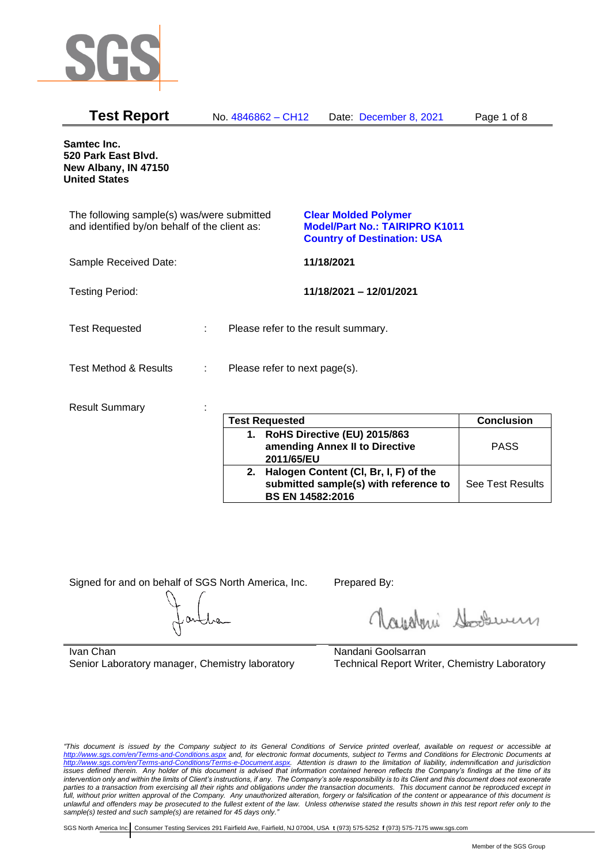

| <b>Test Report</b>                                                                          | No. 4846862 - CH12            | Date: December 8, 2021                                                                                     | Page 1 of 8 |
|---------------------------------------------------------------------------------------------|-------------------------------|------------------------------------------------------------------------------------------------------------|-------------|
| Samtec Inc.<br>520 Park East Blvd.<br>New Albany, IN 47150<br><b>United States</b>          |                               |                                                                                                            |             |
| The following sample(s) was/were submitted<br>and identified by/on behalf of the client as: |                               | <b>Clear Molded Polymer</b><br><b>Model/Part No.: TAIRIPRO K1011</b><br><b>Country of Destination: USA</b> |             |
| Sample Received Date:                                                                       |                               | 11/18/2021                                                                                                 |             |
| <b>Testing Period:</b>                                                                      |                               | 11/18/2021 - 12/01/2021                                                                                    |             |
| <b>Test Requested</b>                                                                       | ÷.                            | Please refer to the result summary.                                                                        |             |
| <b>Test Method &amp; Results</b><br>÷                                                       | Please refer to next page(s). |                                                                                                            |             |
| <b>Result Summary</b>                                                                       |                               |                                                                                                            |             |

| <b>Test Requested</b>                                                                                        | <b>Conclusion</b>       |
|--------------------------------------------------------------------------------------------------------------|-------------------------|
| 1. RoHS Directive (EU) 2015/863<br>amending Annex II to Directive<br>2011/65/EU                              | <b>PASS</b>             |
| 2. Halogen Content (CI, Br, I, F) of the<br>submitted sample(s) with reference to<br><b>BS EN 14582:2016</b> | <b>See Test Results</b> |

Signed for and on behalf of SGS North America, Inc. Prepared By:

Royalmi Souri

Ivan Chan Senior Laboratory manager, Chemistry laboratory Nandani Goolsarran Technical Report Writer, Chemistry Laboratory

*"This document is issued by the Company subject to its General Conditions of Service printed overleaf, available on request or accessible at <http://www.sgs.com/en/Terms-and-Conditions.aspx> and, for electronic format documents, subject to Terms and Conditions for Electronic Documents at [http://www.sgs.com/en/Terms-and-Conditions/Terms-e-Document.aspx.](http://www.sgs.com/en/Terms-and-Conditions/Terms-e-Document.aspx) Attention is drawn to the limitation of liability, indemnification and jurisdiction issues defined therein. Any holder of this document is advised that information contained hereon reflects the Company's findings at the time of its intervention only and within the limits of Client's instructions, if any. The Company's sole responsibility is to its Client and this document does not exonerate parties to a transaction from exercising all their rights and obligations under the transaction documents. This document cannot be reproduced except in full, without prior written approval of the Company. Any unauthorized alteration, forgery or falsification of the content or appearance of this document is unlawful and offenders may be prosecuted to the fullest extent of the law. Unless otherwise stated the results shown in this test report refer only to the sample(s) tested and such sample(s) are retained for 45 days only."*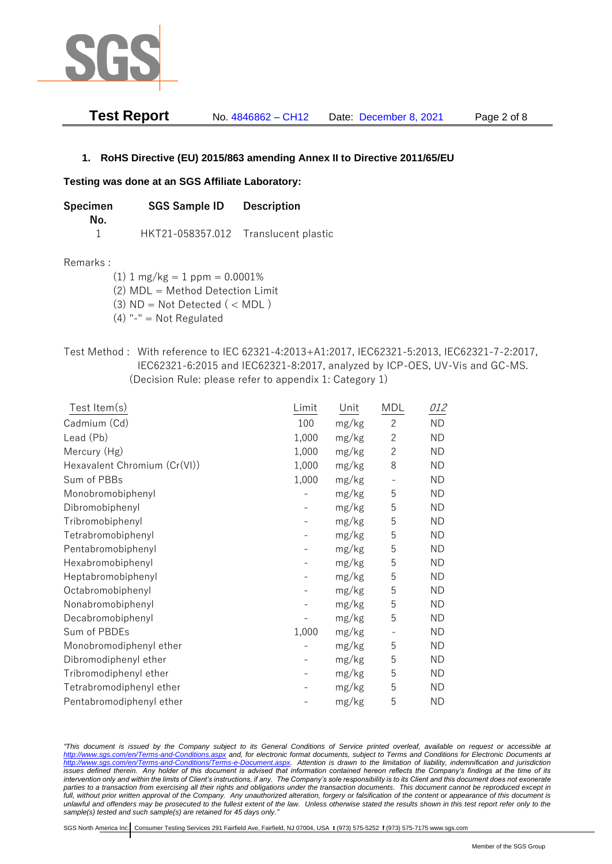

| <b>Test Report</b> | No. 4846862 - CH12 | Date: December 8, 2021 | Page 2 of 8 |
|--------------------|--------------------|------------------------|-------------|
|--------------------|--------------------|------------------------|-------------|

### **1. RoHS Directive (EU) 2015/863 amending Annex II to Directive 2011/65/EU**

#### **Testing was done at an SGS Affiliate Laboratory:**

| Specimen | <b>SGS Sample ID</b>                 | <b>Description</b> |
|----------|--------------------------------------|--------------------|
| No.      |                                      |                    |
|          | HKT21-058357.012 Translucent plastic |                    |

#### Remarks :

 $(1)$  1 mg/kg = 1 ppm = 0.0001%

(2) MDL = Method Detection Limit

- (3)  $ND = Not$  Detected ( < MDL)
- $(4)$  "-" = Not Regulated

## Test Method : With reference to IEC 62321-4:2013+A1:2017, IEC62321-5:2013, IEC62321-7-2:2017, IEC62321-6:2015 and IEC62321-8:2017, analyzed by ICP-OES, UV-Vis and GC-MS. (Decision Rule: please refer to appendix 1: Category 1)

| Limit | Unit  | <b>MDL</b>     | 012       |
|-------|-------|----------------|-----------|
| 100   | mg/kg | $\mathbf{2}$   | <b>ND</b> |
| 1,000 | mg/kg | $\overline{2}$ | <b>ND</b> |
| 1,000 | mg/kg | $\mathbf{2}$   | <b>ND</b> |
| 1,000 | mg/kg | 8              | <b>ND</b> |
| 1,000 | mg/kg |                | <b>ND</b> |
|       | mg/kg | 5              | <b>ND</b> |
|       | mg/kg | 5              | <b>ND</b> |
|       | mg/kg | 5              | <b>ND</b> |
|       | mg/kg | 5              | <b>ND</b> |
|       | mg/kg | 5              | <b>ND</b> |
|       | mg/kg | 5              | <b>ND</b> |
|       | mg/kg | 5              | <b>ND</b> |
|       | mg/kg | 5              | <b>ND</b> |
|       | mg/kg | 5              | <b>ND</b> |
|       | mg/kg | 5              | <b>ND</b> |
| 1,000 | mg/kg |                | <b>ND</b> |
|       | mg/kg | 5              | <b>ND</b> |
|       | mg/kg | 5              | <b>ND</b> |
|       | mg/kg | 5              | <b>ND</b> |
|       | mg/kg | 5              | <b>ND</b> |
|       | mg/kg | 5              | <b>ND</b> |
|       |       |                |           |

*"This document is issued by the Company subject to its General Conditions of Service printed overleaf, available on request or accessible at <http://www.sgs.com/en/Terms-and-Conditions.aspx> and, for electronic format documents, subject to Terms and Conditions for Electronic Documents at [http://www.sgs.com/en/Terms-and-Conditions/Terms-e-Document.aspx.](http://www.sgs.com/en/Terms-and-Conditions/Terms-e-Document.aspx) Attention is drawn to the limitation of liability, indemnification and jurisdiction issues defined therein. Any holder of this document is advised that information contained hereon reflects the Company's findings at the time of its intervention only and within the limits of Client's instructions, if any. The Company's sole responsibility is to its Client and this document does not exonerate*  parties to a transaction from exercising all their rights and obligations under the transaction documents. This document cannot be reproduced except in *full, without prior written approval of the Company. Any unauthorized alteration, forgery or falsification of the content or appearance of this document is unlawful and offenders may be prosecuted to the fullest extent of the law. Unless otherwise stated the results shown in this test report refer only to the sample(s) tested and such sample(s) are retained for 45 days only."*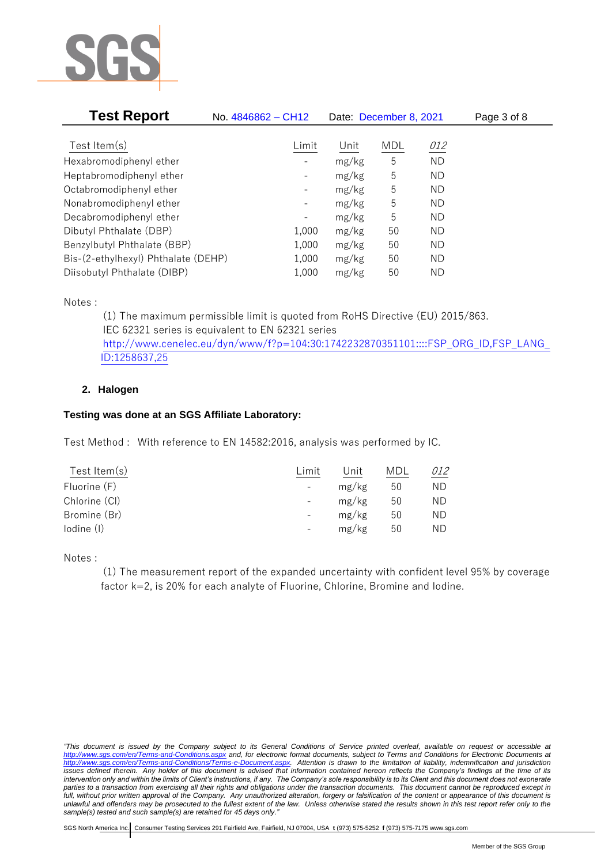

| <b>Test Report</b>                  | No. 4846862 - CH12<br>Date: December 8, 2021 |       | Page 3 of 8 |            |  |
|-------------------------------------|----------------------------------------------|-------|-------------|------------|--|
|                                     |                                              |       |             |            |  |
| Test Item $(s)$                     | Limit                                        | Unit  | <b>MDL</b>  | <i>012</i> |  |
| Hexabromodiphenyl ether             |                                              | mg/kg | 5           | <b>ND</b>  |  |
| Heptabromodiphenyl ether            |                                              | mg/kg | 5           | ND         |  |
| Octabromodiphenyl ether             | -                                            | mg/kg | 5           | ΝD         |  |
| Nonabromodiphenyl ether             | -                                            | mg/kg | 5           | ΝD         |  |
| Decabromodiphenyl ether             | $\qquad \qquad \blacksquare$                 | mg/kg | 5           | ΝD         |  |
| Dibutyl Phthalate (DBP)             | 1,000                                        | mg/kg | 50          | ΝD         |  |
| Benzylbutyl Phthalate (BBP)         | 1,000                                        | mg/kg | 50          | ΝD         |  |
| Bis-(2-ethylhexyl) Phthalate (DEHP) | 1,000                                        | mg/kg | 50          | ΝD         |  |
| Diisobutyl Phthalate (DIBP)         | 1,000                                        | mg/kg | 50          | ND         |  |

Notes :

(1) The maximum permissible limit is quoted from RoHS Directive (EU) 2015/863. IEC 62321 series is equivalent to EN 62321 series [http://www.cenelec.eu/dyn/www/f?p=104:30:1742232870351101::::FSP\\_ORG\\_ID,FSP\\_LANG\\_](http://www.cenelec.eu/dyn/www/f?p=104:30:1742232870351101::::FSP_ORG_ID,FSP_LANG_ID:1258637,25) [ID:1258637,25](http://www.cenelec.eu/dyn/www/f?p=104:30:1742232870351101::::FSP_ORG_ID,FSP_LANG_ID:1258637,25)

## **2. Halogen**

### **Testing was done at an SGS Affiliate Laboratory:**

Test Method : With reference to EN 14582:2016, analysis was performed by IC.

| Test Item $(s)$ | Limit | Unit  | MDL | 012 |
|-----------------|-------|-------|-----|-----|
| Fluorine (F)    |       | mg/kg | 50  | ΝD  |
| Chlorine (CI)   |       | mg/kg | 50  | ΝD  |
| Bromine (Br)    |       | mg/kg | 50  | ΝD  |
| lodine (I)      |       | mg/kg | 50  | ΝD  |
|                 |       |       |     |     |

Notes :

(1) The measurement report of the expanded uncertainty with confident level 95% by coverage factor k=2, is 20% for each analyte of Fluorine, Chlorine, Bromine and Iodine.

*<sup>&</sup>quot;This document is issued by the Company subject to its General Conditions of Service printed overleaf, available on request or accessible at <http://www.sgs.com/en/Terms-and-Conditions.aspx> and, for electronic format documents, subject to Terms and Conditions for Electronic Documents at [http://www.sgs.com/en/Terms-and-Conditions/Terms-e-Document.aspx.](http://www.sgs.com/en/Terms-and-Conditions/Terms-e-Document.aspx) Attention is drawn to the limitation of liability, indemnification and jurisdiction issues defined therein. Any holder of this document is advised that information contained hereon reflects the Company's findings at the time of its intervention only and within the limits of Client's instructions, if any. The Company's sole responsibility is to its Client and this document does not exonerate*  parties to a transaction from exercising all their rights and obligations under the transaction documents. This document cannot be reproduced except in *full, without prior written approval of the Company. Any unauthorized alteration, forgery or falsification of the content or appearance of this document is unlawful and offenders may be prosecuted to the fullest extent of the law. Unless otherwise stated the results shown in this test report refer only to the sample(s) tested and such sample(s) are retained for 45 days only."*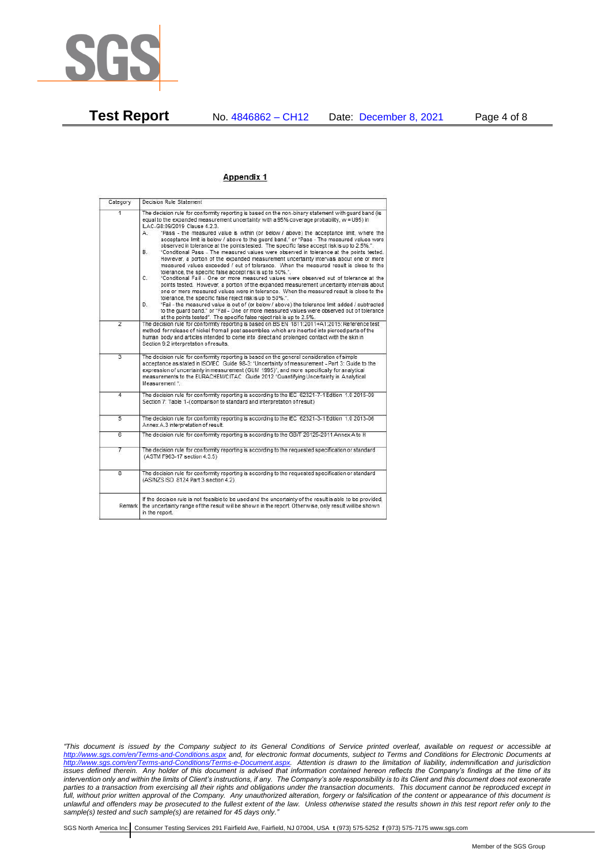

**Test Report** No. 4846862 – CH12 Date: December 8, 2021 Page 4 of 8

#### Appendix 1

| Category                | Decision Rule Statement                                                                                                                                                                                                                                                                                                                                                                                                                                                                                                                                                                                                                                                                                                                                                                                                                                                                                                                                                                                                                                                                                                                                                                                                                                                                                                                                                                                                                          |  |  |
|-------------------------|--------------------------------------------------------------------------------------------------------------------------------------------------------------------------------------------------------------------------------------------------------------------------------------------------------------------------------------------------------------------------------------------------------------------------------------------------------------------------------------------------------------------------------------------------------------------------------------------------------------------------------------------------------------------------------------------------------------------------------------------------------------------------------------------------------------------------------------------------------------------------------------------------------------------------------------------------------------------------------------------------------------------------------------------------------------------------------------------------------------------------------------------------------------------------------------------------------------------------------------------------------------------------------------------------------------------------------------------------------------------------------------------------------------------------------------------------|--|--|
| 1                       | The decision rule for conformity reporting is based on the non-binary statement with quard band (is<br>equal to the expanded measurement uncertainty with a 95% coverage probability, w = U95) in<br>ILAC-G8:09/2019 Clause 4.2.3.<br>"Pass - the measured value is within (or below / above) the acceptance limit, where the<br>А.<br>acceptance limit is below / above to the quard band," or "Pass - The measured values were<br>observed in tolerance at the points tested. The specific false accept risk is up to 2.5%.".<br><b>B.</b><br>"Conditional Pass - The measured values were observed in tolerance at the points tested.<br>However, a portion of the expanded measurement uncertainty intervals about one or more<br>measured values exceeded / out of tolerance. When the measured result is close to the<br>tolerance, the specific false accept risk is up to 50%."<br>C.<br>"Conditional Fail - One or more measured values were observed out of tolerance at the<br>points tested. However, a portion of the expanded measurement uncertainty intervals about<br>one or more measured values were in tolerance. When the measured result is close to the<br>tolerance, the specific false reject risk is up to 50%.".<br>"Fail - the measured value is out of (or below / above) the tolerance limit added / subtracted<br>D.<br>to the quard band." or "Fail - One or more measured values were observed out of tolerance |  |  |
| $\overline{2}$          | at the points tested". The specific false reject risk is up to 2.5%.<br>The decision rule for conformity reporting is based on BS EN 1811:2011+A1:2015: Reference test<br>method for release of nickel from all post assemblies which are inserted into pierced parts of the<br>human body and articles intended to come into direct and prolonged contact with the skin in<br>Section 9.2 interpretation of results.                                                                                                                                                                                                                                                                                                                                                                                                                                                                                                                                                                                                                                                                                                                                                                                                                                                                                                                                                                                                                            |  |  |
| $\overline{3}$          | The decision rule for conformity reporting is based on the general consideration of simple<br>acceptance as stated in ISO/IEC Guide 98-3: "Uncertainty of measurement - Part 3: Guide to the<br>expression of uncertainty in measurement (GUM 1995)", and more specifically for analytical<br>measurements to the EURACHEM/CITAC Guide 2012 "Quantifying Uncertainty in Analytical<br>Measurement".                                                                                                                                                                                                                                                                                                                                                                                                                                                                                                                                                                                                                                                                                                                                                                                                                                                                                                                                                                                                                                              |  |  |
| 4                       | The decision rule for conformity reporting is according to the IEC 62321-7-1 Edition 1.0 2015-09<br>Section 7: Table 1-(comparison to standard and interpretation of result)                                                                                                                                                                                                                                                                                                                                                                                                                                                                                                                                                                                                                                                                                                                                                                                                                                                                                                                                                                                                                                                                                                                                                                                                                                                                     |  |  |
| 5                       | The decision rule for conformity reporting is according to the IEC 62321-3-1 Edition 1.0 2013-06<br>Annex A.3 interpretation of result.                                                                                                                                                                                                                                                                                                                                                                                                                                                                                                                                                                                                                                                                                                                                                                                                                                                                                                                                                                                                                                                                                                                                                                                                                                                                                                          |  |  |
| 6                       | The decision rule for conformity reporting is according to the GB/T 26125-2011 Annex A to H                                                                                                                                                                                                                                                                                                                                                                                                                                                                                                                                                                                                                                                                                                                                                                                                                                                                                                                                                                                                                                                                                                                                                                                                                                                                                                                                                      |  |  |
| 7                       | The decision rule for conformity reporting is according to the requested specification or standard<br>(ASTM F963-17 section 4.3.5)                                                                                                                                                                                                                                                                                                                                                                                                                                                                                                                                                                                                                                                                                                                                                                                                                                                                                                                                                                                                                                                                                                                                                                                                                                                                                                               |  |  |
| $\overline{\mathbf{g}}$ | The decision rule for conformity reporting is according to the requested specification or standard<br>(AS/NZS ISO 8124 Part 3 section 4.2)                                                                                                                                                                                                                                                                                                                                                                                                                                                                                                                                                                                                                                                                                                                                                                                                                                                                                                                                                                                                                                                                                                                                                                                                                                                                                                       |  |  |
| Remark                  | If the decision rule is not feasible to be used and the uncertainty of the result is able to be provided.<br>the uncertainty range of the result will be shown in the report. Otherwise, only result will be shown<br>in the report.                                                                                                                                                                                                                                                                                                                                                                                                                                                                                                                                                                                                                                                                                                                                                                                                                                                                                                                                                                                                                                                                                                                                                                                                             |  |  |

*"This document is issued by the Company subject to its General Conditions of Service printed overleaf, available on request or accessible at <http://www.sgs.com/en/Terms-and-Conditions.aspx> and, for electronic format documents, subject to Terms and Conditions for Electronic Documents at [http://www.sgs.com/en/Terms-and-Conditions/Terms-e-Document.aspx.](http://www.sgs.com/en/Terms-and-Conditions/Terms-e-Document.aspx) Attention is drawn to the limitation of liability, indemnification and jurisdiction issues defined therein. Any holder of this document is advised that information contained hereon reflects the Company's findings at the time of its intervention only and within the limits of Client's instructions, if any. The Company's sole responsibility is to its Client and this document does not exonerate parties to a transaction from exercising all their rights and obligations under the transaction documents. This document cannot be reproduced except in full, without prior written approval of the Company. Any unauthorized alteration, forgery or falsification of the content or appearance of this document is unlawful and offenders may be prosecuted to the fullest extent of the law. Unless otherwise stated the results shown in this test report refer only to the sample(s) tested and such sample(s) are retained for 45 days only."*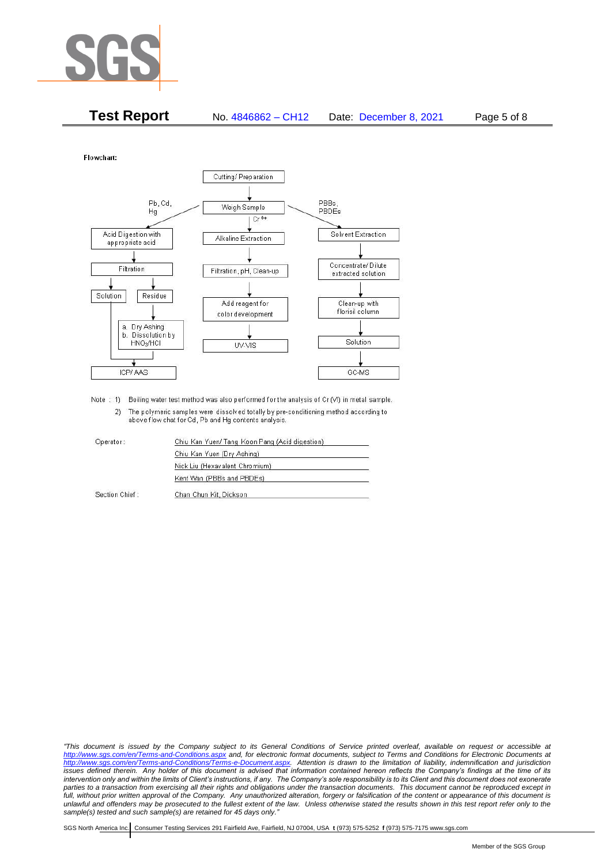

| <b>Test Report</b> | No. 4846862 - CH12 | Date: December 8, 2021 | Page 5 of 8 |
|--------------------|--------------------|------------------------|-------------|
|--------------------|--------------------|------------------------|-------------|

Flowchart:



Note : 1) Boiling water test method was also performed for the analysis of Cr (VI) in metal sample. 2) The polymeric samples were dissolved totally by pre-conditioning method according to above flow chat for Cd, Pb and Hg contents analysis

| Operator:      | Chiu Kan Yuen/ Tang Koon Pang (Acid digestion) |  |
|----------------|------------------------------------------------|--|
|                | Chiu Kan Yuen (Dry Ashing)                     |  |
|                | Nick Liu (Hexavalent Chromium)                 |  |
|                | Kent Wan (PBBs and PBDEs)                      |  |
| Section Chief: | Chan Chun Kit, Dickson                         |  |

*"This document is issued by the Company subject to its General Conditions of Service printed overleaf, available on request or accessible at <http://www.sgs.com/en/Terms-and-Conditions.aspx> and, for electronic format documents, subject to Terms and Conditions for Electronic Documents at [http://www.sgs.com/en/Terms-and-Conditions/Terms-e-Document.aspx.](http://www.sgs.com/en/Terms-and-Conditions/Terms-e-Document.aspx) Attention is drawn to the limitation of liability, indemnification and jurisdiction issues defined therein. Any holder of this document is advised that information contained hereon reflects the Company's findings at the time of its intervention only and within the limits of Client's instructions, if any. The Company's sole responsibility is to its Client and this document does not exonerate*  parties to a transaction from exercising all their rights and obligations under the transaction documents. This document cannot be reproduced except in *full, without prior written approval of the Company. Any unauthorized alteration, forgery or falsification of the content or appearance of this document is unlawful and offenders may be prosecuted to the fullest extent of the law. Unless otherwise stated the results shown in this test report refer only to the sample(s) tested and such sample(s) are retained for 45 days only."*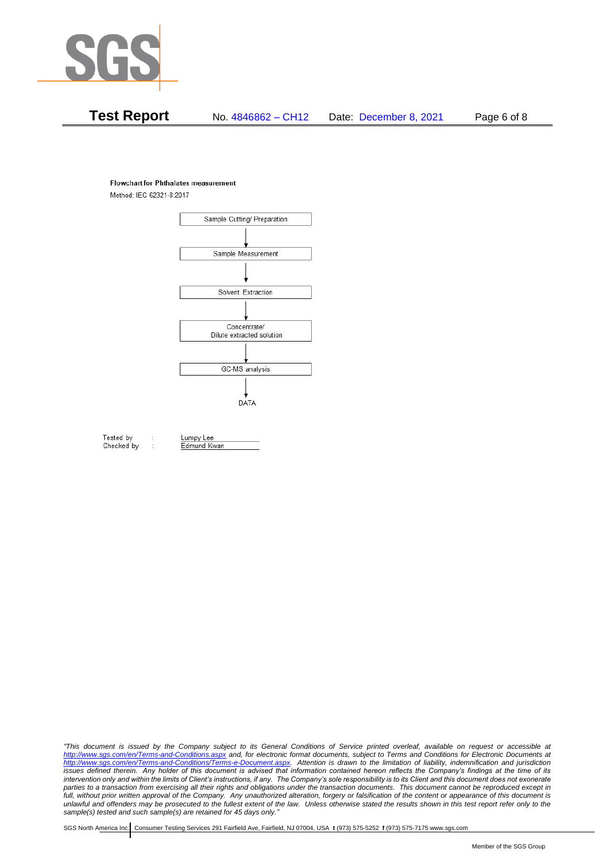

# **Test Report** No. 4846862 – CH12 Date: December 8, 2021 Page 6 of 8

#### **Flowchart for Phthalates measurement**

Method: IEC 62321-8:2017



Tested by Checked by Lumpy Lee Edmund Kwan

*"This document is issued by the Company subject to its General Conditions of Service printed overleaf, available on request or accessible at <http://www.sgs.com/en/Terms-and-Conditions.aspx> and, for electronic format documents, subject to Terms and Conditions for Electronic Documents at [http://www.sgs.com/en/Terms-and-Conditions/Terms-e-Document.aspx.](http://www.sgs.com/en/Terms-and-Conditions/Terms-e-Document.aspx) Attention is drawn to the limitation of liability, indemnification and jurisdiction issues defined therein. Any holder of this document is advised that information contained hereon reflects the Company's findings at the time of its intervention only and within the limits of Client's instructions, if any. The Company's sole responsibility is to its Client and this document does not exonerate*  parties to a transaction from exercising all their rights and obligations under the transaction documents. This document cannot be reproduced except in *full, without prior written approval of the Company. Any unauthorized alteration, forgery or falsification of the content or appearance of this document is unlawful and offenders may be prosecuted to the fullest extent of the law. Unless otherwise stated the results shown in this test report refer only to the sample(s) tested and such sample(s) are retained for 45 days only."*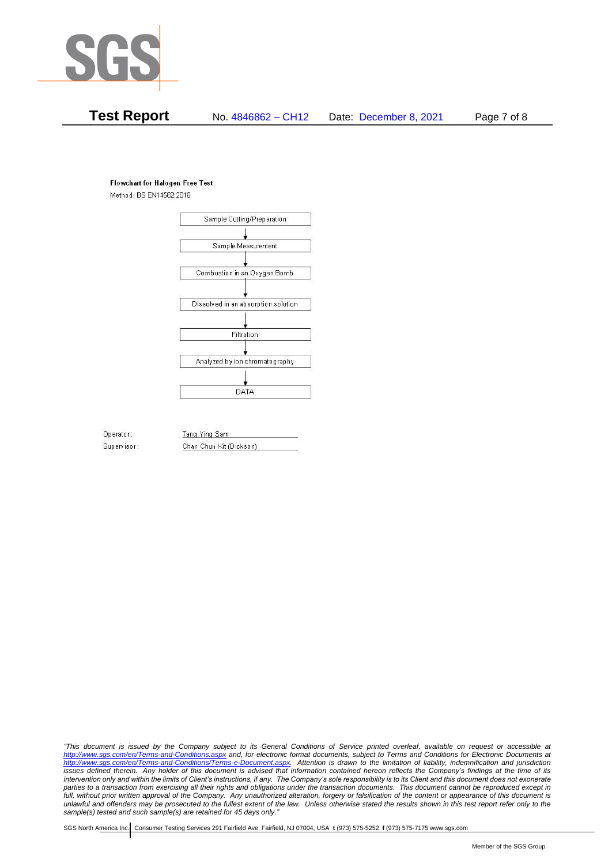

# **Test Report** No. 4846862 – CH12 Date: December 8, 2021 Page 7 of 8

**Flowchart for Halogen Free Test** 

Method: BS EN14582:2016



Operator: Supervisor: Tang Ying Sam Chan Chun Kit (Dickson)

*"This document is issued by the Company subject to its General Conditions of Service printed overleaf, available on request or accessible at <http://www.sgs.com/en/Terms-and-Conditions.aspx> and, for electronic format documents, subject to Terms and Conditions for Electronic Documents at [http://www.sgs.com/en/Terms-and-Conditions/Terms-e-Document.aspx.](http://www.sgs.com/en/Terms-and-Conditions/Terms-e-Document.aspx) Attention is drawn to the limitation of liability, indemnification and jurisdiction issues defined therein. Any holder of this document is advised that information contained hereon reflects the Company's findings at the time of its intervention only and within the limits of Client's instructions, if any. The Company's sole responsibility is to its Client and this document does not exonerate*  parties to a transaction from exercising all their rights and obligations under the transaction documents. This document cannot be reproduced except in *full, without prior written approval of the Company. Any unauthorized alteration, forgery or falsification of the content or appearance of this document is unlawful and offenders may be prosecuted to the fullest extent of the law. Unless otherwise stated the results shown in this test report refer only to the sample(s) tested and such sample(s) are retained for 45 days only."*